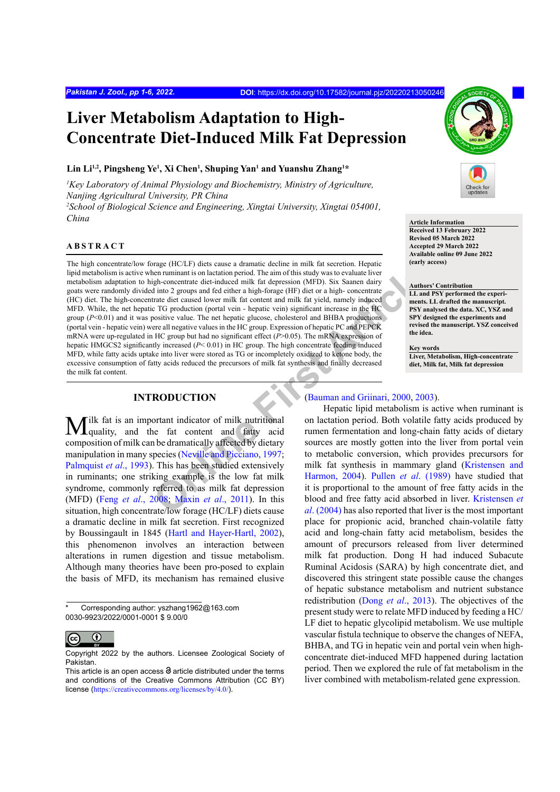# **Liver Metabolism Adaptation to High-Concentrate Diet-Induced Milk Fat Depression**

#### Lin Li<sup>1,2</sup>, Pingsheng Ye<sup>1</sup>, Xi Chen<sup>1</sup>, Shuping Yan<sup>1</sup> and Yuanshu Zhang<sup>1\*</sup>

*1 Key Laboratory of Animal Physiology and Biochemistry, Ministry of Agriculture, Nanjing Agricultural University, PR China* 

*2 School of Biological Science and Engineering, Xingtai University, Xingtai 054001, China* **Article Information**

## **ABSTRACT**

**Example 18** Internal and Solution and Solution (The aim of thi[s](#page-4-0) study was to evaluate liver<br>
the internal and internal and milk fit depression (MFD). Six Samen dair<br>
and internal and ed either a high-forage (HF) dietor a The high concentrate/low forage (HC/LF) diets cause a dramatic decline in milk fat secretion. Hepatic lipid metabolism is active when ruminant is on lactation period. The aim of this study was to evaluate liver metabolism adaptation to high-concentrate diet-induced milk fat depression (MFD). Six Saanen dairy goats were randomly divided into 2 groups and fed either a high-forage (HF) diet or a high- concentrate (HC) diet. The high-concentrate diet caused lower milk fat content and milk fat yield, namely induced MFD. While, the net hepatic TG production (portal vein - hepatic vein) significant increase in the HC group ( $P<0.01$ ) and it was positive value. The net hepatic glucose, cholesterol and BHBA productions (portal vein - hepatic vein) were all negative values in the HC group. Expression of hepatic PC and PEPCK mRNA were up-regulated in HC group but had no significant effect (*P*>0.05). The mRNA expression of hepatic HMGCS2 significantly increased (*P*< 0.01) in HC group. The high concentrate feeding induced MFD, while fatty acids uptake into liver were stored as TG or incompletely oxidized to ketone body, the excessive consumption of fatty acids reduced the precursors of milk fat synthesis and finally decreased the milk fat content.

## **INTRODUCTION**

Milk fat is an important indicator of milk nutritional quality, and the fat content and fatty acid composition of milk can be dramatically affected by dietary manipulation in many species (Neville and Picciano, 1997; [Palmquist](#page-5-1) *et al.*, 1993). This has been studied extensively in ruminants; one striking example is the low fat milk syndrome, commonly referred to as milk fat depression (MFD) (Feng *et al*[., 2008;](#page-5-2) Maxin *et al*., 2011). In this situation, high concentrate/low forage (HC/LF) diets cause a dramatic decline in milk fat secretion. First recognized by Boussingault in 1845 ([Hartl and Hayer-Hartl, 2002](#page-5-4)), this phenomenon involves an interaction between alterations in rumen digestion and tissue metabolism. Although many theories have been pro-posed to explain the basis of MFD, its mechanism has remained elusive



## **Received 13 February 2022**

**Revised 05 March 2022 Accepted 29 March 2022 Available online 09 June 2022 (early access)**

#### **Authors' Contribution LL and PSY performed the experiments. LL drafted the manuscript. PSY analysed the data. XC, YSZ and SPY designed the experiments and revised the manuscript. YSZ conceived the idea.**

**Key words Liver, Metabolism, High-concentrate diet, Milk fat, Milk fat depression**

### (Bauman and Griinari, 2000, 2003).

Hepatic lipid metabolism is active when ruminant is on lactation period. Both volatile fatty acids produced by rumen fermentation and long-chain fatty acids of dietary sources are mostly gotten into the liver from portal vein to metabolic conversion, which provides precursors for milk fat synthesis in mammary gland [\(Kristensen and](#page-5-5) Harmon, 2004). Pullen *et al*. (1989) have studied that it is proportional to the amount of free fatty acids in the blood and free fatty acid absorbed in liver. [Kristensen](#page-5-5) *et al*. (2004) has also reported that liver is the most important place for propionic acid, branched chain-volatile fatty acid and long-chain fatty acid metabolism, besides the amount of precursors released from liver determined milk fat production. Dong H had induced Subacute Ruminal Acidosis (SARA) by high concentrate diet, and discovered this stringent state possible cause the changes of hepatic substance metabolism and nutrient substance redistribution (Dong *et al*[., 2013\)](#page-5-7). The objectives of the present study were to relate MFD induced by feeding a HC/ LF diet to hepatic glycolipid metabolism. We use multiple vascular fistula technique to observe the changes of NEFA, BHBA, and TG in hepatic vein and portal vein when highconcentrate diet-induced MFD happened during lactation period. Then we explored the rule of fat metabolism in the liver combined with metabolism-related gene expression.

Corresponding author: yszhang1962@163.com 0030-9923/2022/0001-0001 \$ 9.00/0

 $_{\odot}$ (c

Copyright 2022 by the authors. Licensee Zoological Society of Pakistan.

This article is an open access  $\Theta$  article distributed under the terms and conditions of the Creative Commons Attribution (CC BY) license (<https://creativecommons.org/licenses/by/4.0/>).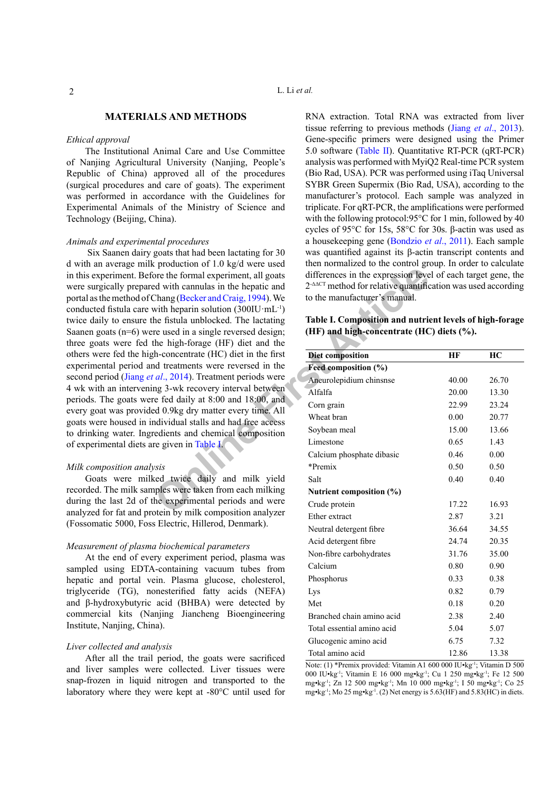## **MATERIALS AND METHODS**

## *Ethical approval*

The Institutional Animal Care and Use Committee of Nanjing Agricultural University (Nanjing, People's Republic of China) approved all of the procedures (surgical procedures and care of goats). The experiment was performed in accordance with the Guidelines for Experimental Animals of the Ministry of Science and Technology (Beijing, China).

#### *Animals and experimental procedures*

From the formal experiment, all goats<br>
orce the formal experiment, all goats<br>
differences [in](#page-1-0) the expression level<br>
devith cannulas in the hepatic and<br>
definition (300IU·mL<sup>+)</sup><br>
to the manufacturer's manual.<br>
with heparin s Six Saanen dairy goats that had been lactating for 30 d with an average milk production of 1.0 kg/d were used in this experiment. Before the formal experiment, all goats were surgically prepared with cannulas in the hepatic and portal as the method of Chang (Becker and Craig, 1994). We conducted fistula care with heparin solution (300IU·mL-1) twice daily to ensure the fistula unblocked. The lactating Saanen goats (n=6) were used in a single reversed design; three goats were fed the high-forage (HF) diet and the others were fed the high-concentrate (HC) diet in the first experimental period and treatments were reversed in the second period (Jiang *et al*., 2014). Treatment periods were 4 wk with an intervening 3-wk recovery interval between periods. The goats were fed daily at 8:00 and 18:00, and every goat was provided 0.9kg dry matter every time. All goats were housed in individual stalls and had free access to drinking water. Ingredients and chemical composition of experimental diets are given in Table I.

#### *Milk composition analysis*

Goats were milked twice daily and milk yield recorded. The milk samples were taken from each milking during the last 2d of the experimental periods and were analyzed for fat and protein by milk composition analyzer (Fossomatic 5000, Foss Electric, Hillerod, Denmark).

#### *Measurement of plasma biochemical parameters*

At the end of every experiment period, plasma was sampled using EDTA-containing vacuum tubes from hepatic and portal vein. Plasma glucose, cholesterol, triglyceride (TG), nonesterified fatty acids (NEFA) and β-hydroxybutyric acid (BHBA) were detected by commercial kits (Nanjing Jiancheng Bioengineering Institute, Nanjing, China).

#### *Liver collected and analysis*

After all the trail period, the goats were sacrificed and liver samples were collected. Liver tissues were snap-frozen in liquid nitrogen and transported to the laboratory where they were kept at -80°C until used for

RNA extraction. Total RNA was extracted from liver tissue referring to previous methods (Jiang *et al*[., 2013](#page-5-9)). Gene-specific primers were designed using the Primer 5.0 software ([Table II\)](#page-2-0). Quantitative RT-PCR (qRT-PCR) analysis was performed with MyiQ2 Real-time PCR system (Bio Rad, USA). PCR was performed using iTaq Universal SYBR Green Supermix (Bio Rad, USA), according to the manufacturer's protocol. Each sample was analyzed in triplicate. For qRT-PCR, the amplifications were performed with the following protocol: 95°C for 1 min, followed by 40 cycles of 95°C for 15s, 58°C for 30s. β-actin was used as a housekeeping gene [\(Bondzio](#page-4-3) *et al*., 2011). Each sample was quantified against its β-actin transcript contents and then normalized to the control group. In order to calculate differences in the expression level of each target gene, the 2-ΔΔCT method for relative quantification was used according to the manufacturer's manual.

<span id="page-1-0"></span>

|  |                                           | Table I. Composition and nutrient levels of high-forage |
|--|-------------------------------------------|---------------------------------------------------------|
|  | (HF) and high-concentrate (HC) diets (%). |                                                         |

| Diet composition           | НF    | HC    |  |
|----------------------------|-------|-------|--|
| Feed composition (%)       |       |       |  |
| Aneurolepidium chinsnse    | 40.00 | 26.70 |  |
| Alfalfa                    | 20.00 | 13.30 |  |
| Corn grain                 | 22.99 | 23.24 |  |
| Wheat bran                 | 0.00  | 20.77 |  |
| Soybean meal               | 15.00 | 13.66 |  |
| Limestone                  | 0.65  | 1.43  |  |
| Calcium phosphate dibasic  | 0.46  | 0.00  |  |
| *Premix                    | 0.50  | 0.50  |  |
| Salt                       | 0.40  | 0.40  |  |
| Nutrient composition (%)   |       |       |  |
| Crude protein              | 17.22 | 16.93 |  |
| Ether extract              | 2.87  | 3.21  |  |
| Neutral detergent fibre    | 36.64 | 34.55 |  |
| Acid detergent fibre       | 24.74 | 20.35 |  |
| Non-fibre carbohydrates    | 31.76 | 35.00 |  |
| Calcium                    | 0.80  | 0.90  |  |
| Phosphorus                 | 0.33  | 0.38  |  |
| Lys                        | 0.82  | 0.79  |  |
| Met                        | 0.18  | 0.20  |  |
| Branched chain amino acid  | 2.38  | 2.40  |  |
| Total essential amino acid | 5.04  | 5.07  |  |
| Glucogenic amino acid      | 6.75  | 7.32  |  |
| Total amino acid           | 12.86 | 13.38 |  |

Note: (1) \*Premix provided: Vitamin A1 600 000 IU•kg-1; Vitamin D 500 000 IU•kg-1; Vitamin E 16 000 mg•kg-1; Cu 1 250 mg•kg-1; Fe 12 500 mg•kg-1; Zn 12 500 mg•kg-1; Mn 10 000 mg•kg-1; I 50 mg•kg-1; Co 25 mg•kg-1; Mo 25 mg•kg-1. (2) Net energy is 5.63(HF) and 5.83(HC) in diets.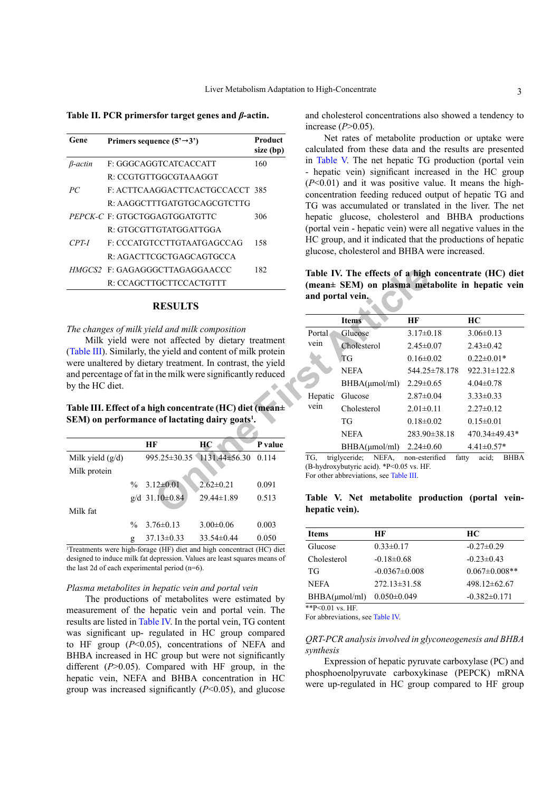<span id="page-2-0"></span>**Table II. PCR primersfor target genes and** *β***-actin.**

| Gene            | Primers sequence $(5' \rightarrow 3')$ | Product<br>size (bp) |
|-----------------|----------------------------------------|----------------------|
| <i>B</i> -actin | F: GGGCAGGTCATCACCATT                  | 160                  |
|                 | R: CCGTGTTGGCGTAAAGGT                  |                      |
| PC              | F: ACTTCAAGGACTTCACTGCCACCT 385        |                      |
|                 | R · AAGGCTTTGATGTGCAGCGTCTTG           |                      |
|                 | <i>PEPCK-C F: GTGCTGGAGTGGATGTTC</i>   | 306                  |
|                 | R GTGCGTTGTATGGATTGGA                  |                      |
| $CPT-I$         | F CCCATGTCCTTGTA ATGAGCCAG             | 158                  |
|                 | R: AGACTTCGCTGAGCAGTGCCA               |                      |
|                 | HMGCS2 F: GAGAGGGCTTAGAGGAACCC         | 182                  |
|                 | R CCAGCTTGCTTCCACTGTTT                 |                      |

#### **RESULTS**

#### *The changes of milk yield and milk composition*

Milk yield were not affected by dietary treatment [\(Table III](#page-2-1)). Similarly, the yield and content of milk protein were unaltered by dietary treatment. In contrast, the yield and percentage of fat in the milk were significantly reduced by the HC diet.

## <span id="page-2-1"></span>**Table III. Effect of a high concentrate (HC) diet (mean± SEM) on performance of lactating dairy goats1 .**

|                    |               | HЕ                     | HС                                     | P value |
|--------------------|---------------|------------------------|----------------------------------------|---------|
| Milk yield $(g/d)$ |               |                        | $995.25 \pm 30.35$ 1131.44 $\pm 56.30$ | 0.114   |
| Milk protein       |               |                        |                                        |         |
|                    | $\frac{0}{0}$ | $3.12\pm0.01$          | $2.62 \pm 0.21$                        | 0.091   |
|                    |               | $g/d$ 31.10 $\pm$ 0.84 | $29.44 \pm 1.89$                       | 0.513   |
| Milk fat           |               |                        |                                        |         |
|                    | $\frac{0}{0}$ | $3.76\pm0.13$          | $3.00 \pm 0.06$                        | 0.003   |
|                    | g             | $37.13 \pm 0.33$       | $33.54\pm0.44$                         | 0.050   |

1 Treatments were high-forage (HF) diet and high concentract (HC) diet designed to induce milk fat depression. Values are least squares means of the last 2d of each experimental period (n=6).

#### *Plasma metabolites in hepatic vein and portal vein*

The productions of metabolites were estimated by measurement of the hepatic vein and portal vein. The results are listed in [Table IV.](#page-2-2) In the portal vein, TG content was significant up- regulated in HC group compared to HF group (*P*<0.05), concentrations of NEFA and BHBA increased in HC group but were not significantly different (*P*>0.05). Compared with HF group, in the hepatic vein, NEFA and BHBA concentration in HC group was increased significantly (*P*<0.05), and glucose and cholesterol concentrations also showed a tendency to increase (*P*>0.05).

Net rates of metabolite production or uptake were calculated from these data and the results are presented in [Table V.](#page-2-3) The net hepatic TG production (portal vein - hepatic vein) significant increased in the HC group (*P*<0.01) and it was positive value. It means the highconcentration feeding reduced output of hepatic TG and TG was accumulated or translated in the liver. The net hepatic glucose, cholesterol and BHBA productions (portal vein - hepatic vein) were all negative values in the HC group, and it indicated that the productions of hepatic glucose, cholesterol and BHBA were increased.

<span id="page-2-2"></span>**Table IV. The effects of a high concentrate (HC) diet (mean± SEM) on plasma metabolite in hepatic vein and portal vein.**

| GCTTAGAGGAACCC<br>182<br><b>IGCTTCCACTGTTT</b>                                |                  | Table IV. The effects of a high concentrate (HC) diet<br>(mean± SEM) on plasma metabolite in hepatic vein  |                         |                      |
|-------------------------------------------------------------------------------|------------------|------------------------------------------------------------------------------------------------------------|-------------------------|----------------------|
| <b>RESULTS</b>                                                                | and portal vein. |                                                                                                            |                         |                      |
|                                                                               |                  | <b>Items</b>                                                                                               | HF                      | HC                   |
| eld and milk composition                                                      | Portal           | Glucose                                                                                                    | $3.17\pm0.18$           | $3.06 \pm 0.13$      |
| not affected by dietary treatment                                             | vein             | Cholesterol                                                                                                | $2.45 \pm 0.07$         | $2.43 \pm 0.42$      |
| ne yield and content of milk protein<br>ary treatment. In contrast, the yield |                  | <b>TG</b>                                                                                                  | $0.16 \pm 0.02$         | $0.22 \pm 0.01*$     |
| the milk were significantly reduced                                           |                  | <b>NEFA</b>                                                                                                | 544.25±78.178           | $922.31 \pm 122.8$   |
|                                                                               |                  | $BHBA(\mu mol/ml)$                                                                                         | $2.29 \pm 0.65$         | $4.04 \pm 0.78$      |
|                                                                               | Hepatic          | Glucose                                                                                                    | $2.87 \pm 0.04$         | $3.33 \pm 0.33$      |
| igh concentrate (HC) diet (mean±                                              | vein             | Cholesterol                                                                                                | $2.01 \pm 0.11$         | $2.27 \pm 0.12$      |
| e of lactating dairy goats <sup>1</sup> .                                     |                  | <b>TG</b>                                                                                                  | $0.18 \pm 0.02$         | $0.15 \pm 0.01$      |
|                                                                               |                  | <b>NEFA</b>                                                                                                | $283.90 \pm 38.18$      | 470.34±49.43*        |
| F<br>HC<br>P value                                                            |                  | BHBA( $\mu$ mol/ml) 2.24 $\pm$ 0.60                                                                        |                         | $4.41 \pm 0.57$ *    |
| $0.114$ $-0.35$ $1131.44 \pm 56.30$ $0.114$                                   | TG.              | triglyceride; NEFA,<br>(B-hydroxybutyric acid). *P<0.05 vs. HF.<br>For other abbreviations, see Table III. | non-esterified<br>fatty | acid;<br><b>BHBA</b> |
| $12\pm0.01$<br>0.091<br>$2.62 \pm 0.21$                                       |                  |                                                                                                            |                         |                      |
| 0.513<br>$.10 \pm 0.84$<br>29.44±1.89                                         | hepatic vein).   | Table V. Net metabolite production (portal vein-                                                           |                         |                      |

## <span id="page-2-3"></span>**Table V. Net metabolite production (portal veinhepatic vein).**

| <b>Items</b>  | НF                | <b>HC</b>            |
|---------------|-------------------|----------------------|
| Glucose       | $0.33 \pm 0.17$   | $-0.27\pm0.29$       |
| Cholesterol   | $-0.18\pm0.68$    | $-0.23 \pm 0.43$     |
| TG            | $-0.0367\pm0.008$ | $0.067 \pm 0.008$ ** |
| <b>NEFA</b>   | $272.13\pm31.58$  | $498.12\pm 62.67$    |
| BHBA(umol/ml) | $0.050 \pm 0.049$ | $-0.382\pm0.171$     |

 $*P<0.01$  vs. HF

For abbreviations, see [Table IV](#page-2-2).

## *QRT-PCR analysis involved in glyconeogenesis and BHBA synthesis*

Expression of hepatic pyruvate carboxylase (PC) and phosphoenolpyruvate carboxykinase (PEPCK) mRNA were up-regulated in HC group compared to HF group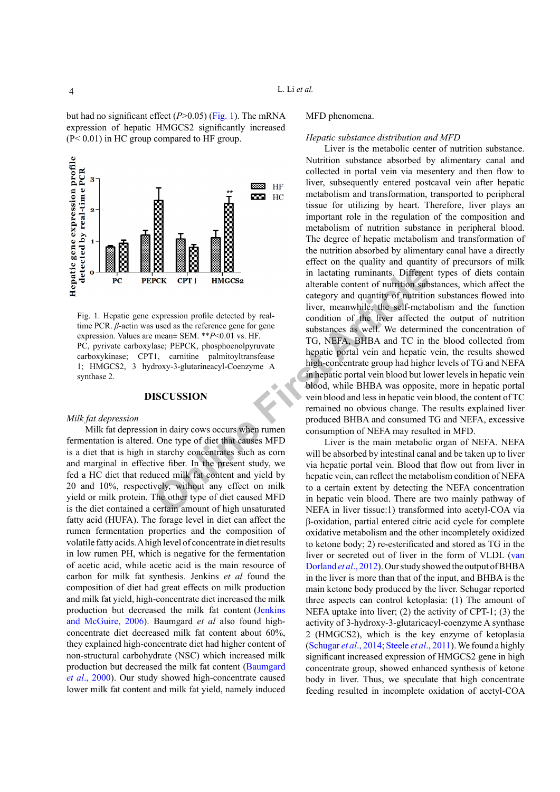but had no significant effect (*P*>0.05) ([Fig. 1](#page-3-0)). The mRNA expression of hepatic HMGCS2 significantly increased (P< 0.01) in HC group compared to HF group.



<span id="page-3-0"></span>Fig. 1. Hepatic gene expression profile detected by realtime PCR. *β*-actin was used as the reference gene for gene expression. Values are mean± SEM. \*\**P*<0.01 vs. HF. PC, pyrivate carboxylase; PEPCK, phosphoenolpyruvate carboxykinase; CPT1, carnitine palmitoyltransfease 1; HMGCS2, 3 hydroxy-3-glutarineacyl-Coenzyme A synthase 2.

#### **DISCUSSION**

#### *Milk fat depression*

Milk fat depression in dairy cows occurs when rumen fermentation is altered. One type of diet that causes MFD is a diet that is high in starchy concentrates such as corn and marginal in effective fiber. In the present study, we fed a HC diet that reduced milk fat content and yield by 20 and 10%, respectively, without any effect on milk yield or milk protein. The other type of diet caused MFD is the diet contained a certain amount of high unsaturated fatty acid (HUFA). The forage level in diet can affect the rumen fermentation properties and the composition of volatile fatty acids. A high level of concentrate in diet results in low rumen PH, which is negative for the fermentation of acetic acid, while acetic acid is the main resource of carbon for milk fat synthesis. Jenkins *et al* found the composition of diet had great effects on milk production and milk fat yield, high-concentrate diet increased the milk production but decreased the milk fat content [\(Jenkins](#page-5-10) [and McGuire, 2006\)](#page-5-10). Baumgard *et al* also found highconcentrate diet decreased milk fat content about 60%, they explained high-concentrate diet had higher content of non-structural carbohydrate (NSC) which increased milk production but decreased the milk fat content ([Baumgard](#page-4-0) *et al*[., 2000\)](#page-4-0). Our study showed high-concentrate caused lower milk fat content and milk fat yield, namely induced

#### MFD phenomena.

#### *Hepatic substance distribution and MFD*

**Online First Article** Liver is the metabolic center of nutrition substance. Nutrition substance absorbed by alimentary canal and collected in portal vein via mesentery and then flow to liver, subsequently entered postcaval vein after hepatic metabolism and transformation, transported to peripheral tissue for utilizing by heart. Therefore, liver plays an important role in the regulation of the composition and metabolism of nutrition substance in peripheral blood. The degree of hepatic metabolism and transformation of the nutrition absorbed by alimentary canal have a directly effect on the quality and quantity of precursors of milk in lactating ruminants. Different types of diets contain alterable content of nutrition substances, which affect the category and quantity of nutrition substances flowed into liver, meanwhile, the self-metabolism and the function condition of the liver affected the output of nutrition substances as well. We determined the concentration of TG, NEFA, BHBA and TC in the blood collected from hepatic portal vein and hepatic vein, the results showed high-concentrate group had higher levels of TG and NEFA in hepatic portal vein blood but lower levels in hepatic vein blood, while BHBA was opposite, more in hepatic portal vein blood and less in hepatic vein blood, the content of TC remained no obvious change. The results explained liver produced BHBA and consumed TG and NEFA, excessive consumption of NEFA may resulted in MFD.

Liver is the main metabolic organ of NEFA. NEFA will be absorbed by intestinal canal and be taken up to liver via hepatic portal vein. Blood that flow out from liver in hepatic vein, can reflect the metabolism condition of NEFA to a certain extent by detecting the NEFA concentration in hepatic vein blood. There are two mainly pathway of NEFA in liver tissue:1) transformed into acetyl-COA via β-oxidation, partial entered citric acid cycle for complete oxidative metabolism and the other incompletely oxidized to ketone body; 2) re-esterificated and stored as TG in the liver or secreted out of liver in the form of VLDL [\(van](#page-5-11)  [Dorland](#page-5-11) *et al*., 2012). Our study showed the output of BHBA in the liver is more than that of the input, and BHBA is the main ketone body produced by the liver. Schugar reported three aspects can control ketoplasia: (1) The amount of NEFA uptake into liver; (2) the activity of CPT-1; (3) the activity of 3-hydroxy-3-glutaricacyl-coenzyme A synthase 2 (HMGCS2), which is the key enzyme of ketoplasia (Schugar *et al*., 2014; [Steele](#page-5-12) *et al*., 2011). We found a highly significant increased expression of HMGCS2 gene in high concentrate group, showed enhanced synthesis of ketone body in liver. Thus, we speculate that high concentrate feeding resulted in incomplete oxidation of acetyl-COA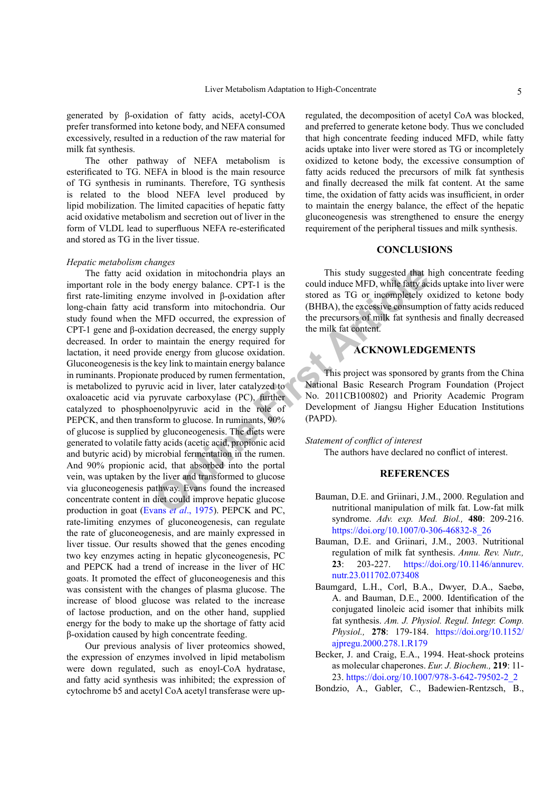generated by β-oxidation of fatty acids, acetyl-COA prefer transformed into ketone body, and NEFA consumed excessively, resulted in a reduction of the raw material for milk fat synthesis.

The other pathway of NEFA metabolism is esterificated to TG. NEFA in blood is the main resource of TG synthesis in ruminants. Therefore, TG synthesis is related to the blood NEFA level produced by lipid mobilization. The limited capacities of hepatic fatty acid oxidative metabolism and secretion out of liver in the form of VLDL lead to superfluous NEFA re-esterificated and stored as TG in the liver tissue.

#### *Hepatic metabolism changes*

comparison in mitochondria plays an<br> [O](#page-5-13)ody energy balance. CPT-1 is the<br>
could induce MFD, while fatty actomation in p-oxidation after<br>
transform into mitochondria. Our<br>
URIBA), the excessive consumpt<br>
MFD occurred, the exp The fatty acid oxidation in mitochondria plays an important role in the body energy balance. CPT-1 is the first rate-limiting enzyme involved in β-oxidation after long-chain fatty acid transform into mitochondria. Our study found when the MFD occurred, the expression of CPT-1 gene and β-oxidation decreased, the energy supply decreased. In order to maintain the energy required for lactation, it need provide energy from glucose oxidation. Gluconeogenesis is the key link to maintain energy balance in ruminants. Propionate produced by rumen fermentation, is metabolized to pyruvic acid in liver, later catalyzed to oxaloacetic acid via pyruvate carboxylase (PC), further catalyzed to phosphoenolpyruvic acid in the role of PEPCK, and then transform to glucose. In ruminants,  $90\%$ of glucose is supplied by gluconeogenesis. The diets were generated to volatile fatty acids (acetic acid, propionic acid and butyric acid) by microbial fermentation in the rumen. And 90% propionic acid, that absorbed into the portal vein, was uptaken by the liver and transformed to glucose via gluconeogenesis pathway. Evans found the increased concentrate content in diet could improve hepatic glucose production in goat (Evans *et al*., 1975). PEPCK and PC, rate-limiting enzymes of gluconeogenesis, can regulate the rate of gluconeogenesis, and are mainly expressed in liver tissue. Our results showed that the genes encoding two key enzymes acting in hepatic glyconeogenesis, PC and PEPCK had a trend of increase in the liver of HC goats. It promoted the effect of gluconeogenesis and this was consistent with the changes of plasma glucose. The increase of blood glucose was related to the increase of lactose production, and on the other hand, supplied energy for the body to make up the shortage of fatty acid β-oxidation caused by high concentrate feeding.

Our previous analysis of liver proteomics showed, the expression of enzymes involved in lipid metabolism were down regulated, such as enoyl-CoA hydratase, and fatty acid synthesis was inhibited; the expression of cytochrome b5 and acetyl CoA acetyl transferase were up-

regulated, the decomposition of acetyl CoA was blocked, and preferred to generate ketone body. Thus we concluded that high concentrate feeding induced MFD, while fatty acids uptake into liver were stored as TG or incompletely oxidized to ketone body, the excessive consumption of fatty acids reduced the precursors of milk fat synthesis and finally decreased the milk fat content. At the same time, the oxidation of fatty acids was insufficient, in order to maintain the energy balance, the effect of the hepatic gluconeogenesis was strengthened to ensure the energy requirement of the peripheral tissues and milk synthesis.

### **CONCLUSIONS**

This study suggested that high concentrate feeding could induce MFD, while fatty acids uptake into liver were stored as TG or incompletely oxidized to ketone body (BHBA), the excessive consumption of fatty acids reduced the precursors of milk fat synthesis and finally decreased the milk fat content.

### **ACKNOWLEDGEMENTS**

This project was sponsored by grants from the China National Basic Research Program Foundation (Project No. 2011CB100802) and Priority Academic Program Development of Jiangsu Higher Education Institutions (PAPD).

#### *Statement of conflict of interest*

The authors have declared no conflict of interest.

#### **REFERENCES**

- <span id="page-4-0"></span>Bauman, D.E. and Griinari, J.M., 2000. Regulation and nutritional manipulation of milk fat. Low-fat milk syndrome. *Adv. exp. Med. Biol.,* **480**: 209-216. [https://doi.org/10.1007/0-306-46832-8\\_26](https://doi.org/10.1007/0-306-46832-8_26)
- <span id="page-4-1"></span>Bauman, D.E. and Griinari, J.M., 2003. Nutritional regulation of milk fat synthesis. *Annu. Rev. Nutr.,*  **23**: 203-227. [https://doi.org/10.1146/annurev.](https://doi.org/10.1146/annurev.nutr.23.011702.073408) [nutr.23.011702.073408](https://doi.org/10.1146/annurev.nutr.23.011702.073408)
- Baumgard, L.H., Corl, B.A., Dwyer, D.A., Saebø, A. and Bauman, D.E., 2000. Identification of the conjugated linoleic acid isomer that inhibits milk fat synthesis. *Am. J. Physiol. Regul. Integr. Comp. Physiol.,* **278**: 179-184. [https://doi.org/10.1152/](https://doi.org/10.1152/ajpregu.2000.278.1.R179) [ajpregu.2000.278.1.R179](https://doi.org/10.1152/ajpregu.2000.278.1.R179)
- <span id="page-4-2"></span>Becker, J. and Craig, E.A., 1994. Heat-shock proteins as molecular chaperones. *Eur. J. Biochem.,* **219**: 11- 23. [https://doi.org/10.1007/978-3-642-79502-2\\_2](https://doi.org/10.1007/978-3-642-79502-2_2)
- <span id="page-4-3"></span>Bondzio, A., Gabler, C., Badewien-Rentzsch, B.,